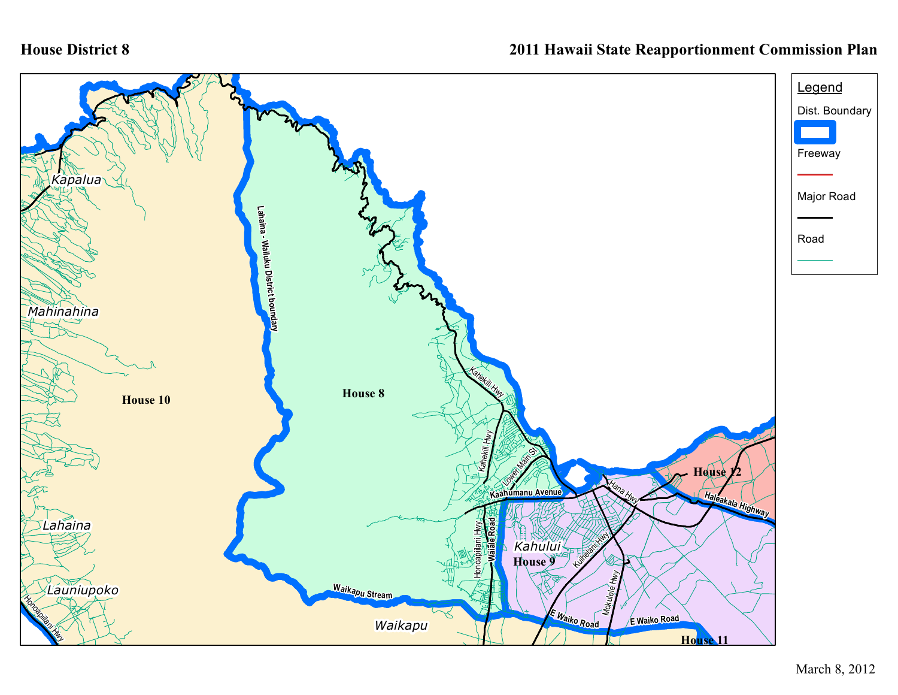## **House District 8**

## **2011 Hawaii State Reapportionment Commission Plan**